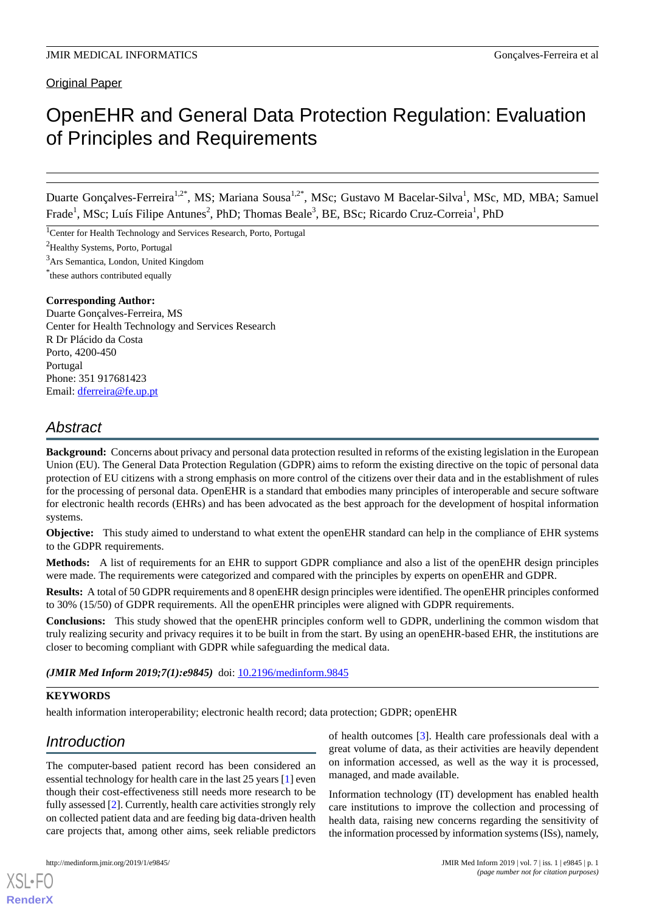## Original Paper

# OpenEHR and General Data Protection Regulation: Evaluation of Principles and Requirements

Duarte Gonçalves-Ferreira<sup>1,2\*</sup>, MS; Mariana Sousa<sup>1,2\*</sup>, MSc; Gustavo M Bacelar-Silva<sup>1</sup>, MSc, MD, MBA; Samuel Frade<sup>1</sup>, MSc; Luís Filipe Antunes<sup>2</sup>, PhD; Thomas Beale<sup>3</sup>, BE, BSc; Ricardo Cruz-Correia<sup>1</sup>, PhD

<sup>1</sup>Center for Health Technology and Services Research, Porto, Portugal

<sup>2</sup>Healthy Systems, Porto, Portugal

<sup>3</sup>Ars Semantica, London, United Kingdom

\* these authors contributed equally

### **Corresponding Author:**

Duarte Gonçalves-Ferreira, MS Center for Health Technology and Services Research R Dr Plácido da Costa Porto, 4200-450 Portugal Phone: 351 917681423 Email: [dferreira@fe.up.pt](mailto:dferreira@fe.up.pt)

## *Abstract*

**Background:** Concerns about privacy and personal data protection resulted in reforms of the existing legislation in the European Union (EU). The General Data Protection Regulation (GDPR) aims to reform the existing directive on the topic of personal data protection of EU citizens with a strong emphasis on more control of the citizens over their data and in the establishment of rules for the processing of personal data. OpenEHR is a standard that embodies many principles of interoperable and secure software for electronic health records (EHRs) and has been advocated as the best approach for the development of hospital information systems.

**Objective:** This study aimed to understand to what extent the openEHR standard can help in the compliance of EHR systems to the GDPR requirements.

**Methods:** A list of requirements for an EHR to support GDPR compliance and also a list of the openEHR design principles were made. The requirements were categorized and compared with the principles by experts on openEHR and GDPR.

**Results:** A total of 50 GDPR requirements and 8 openEHR design principles were identified. The openEHR principles conformed to 30% (15/50) of GDPR requirements. All the openEHR principles were aligned with GDPR requirements.

**Conclusions:** This study showed that the openEHR principles conform well to GDPR, underlining the common wisdom that truly realizing security and privacy requires it to be built in from the start. By using an openEHR-based EHR, the institutions are closer to becoming compliant with GDPR while safeguarding the medical data.

*(JMIR Med Inform 2019;7(1):e9845)* doi: [10.2196/medinform.9845](http://dx.doi.org/10.2196/medinform.9845)

## **KEYWORDS**

health information interoperability; electronic health record; data protection; GDPR; openEHR

## *Introduction*

The computer-based patient record has been considered an essential technology for health care in the last 25 years [[1\]](#page-9-0) even though their cost-effectiveness still needs more research to be fully assessed [[2\]](#page-9-1). Currently, health care activities strongly rely on collected patient data and are feeding big data-driven health care projects that, among other aims, seek reliable predictors of health outcomes [[3\]](#page-9-2). Health care professionals deal with a great volume of data, as their activities are heavily dependent on information accessed, as well as the way it is processed, managed, and made available.

Information technology (IT) development has enabled health care institutions to improve the collection and processing of health data, raising new concerns regarding the sensitivity of the information processed by information systems (ISs), namely,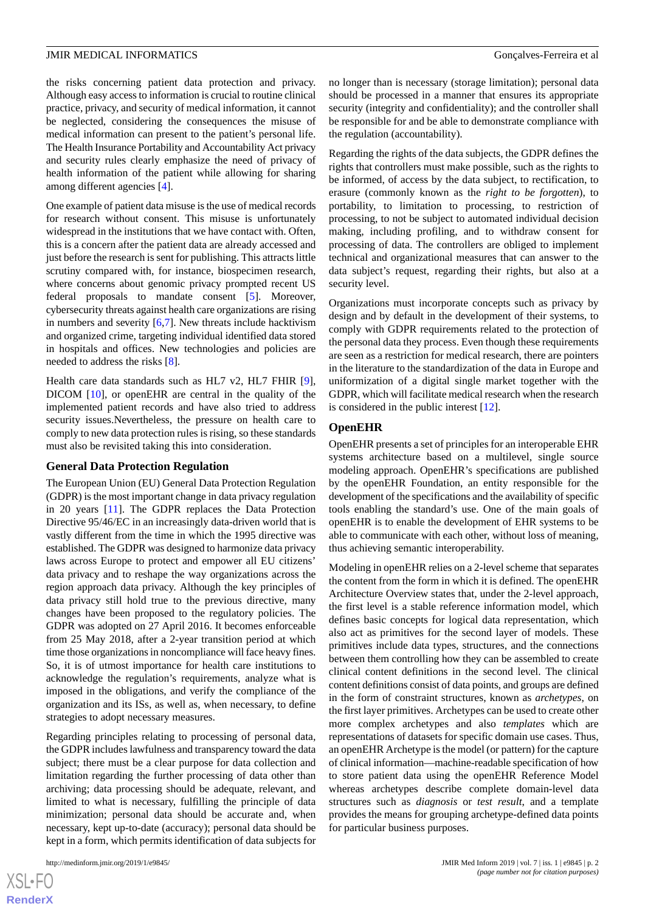the risks concerning patient data protection and privacy. Although easy access to information is crucial to routine clinical practice, privacy, and security of medical information, it cannot be neglected, considering the consequences the misuse of medical information can present to the patient's personal life. The Health Insurance Portability and Accountability Act privacy and security rules clearly emphasize the need of privacy of health information of the patient while allowing for sharing among different agencies [\[4](#page-10-0)].

One example of patient data misuse is the use of medical records for research without consent. This misuse is unfortunately widespread in the institutions that we have contact with. Often, this is a concern after the patient data are already accessed and just before the research is sent for publishing. This attracts little scrutiny compared with, for instance, biospecimen research, where concerns about genomic privacy prompted recent US federal proposals to mandate consent [\[5](#page-10-1)]. Moreover, cybersecurity threats against health care organizations are rising in numbers and severity  $[6,7]$  $[6,7]$  $[6,7]$ . New threats include hacktivism and organized crime, targeting individual identified data stored in hospitals and offices. New technologies and policies are needed to address the risks [[8\]](#page-10-4).

Health care data standards such as HL7 v2, HL7 FHIR [[9\]](#page-10-5), DICOM [\[10](#page-10-6)], or openEHR are central in the quality of the implemented patient records and have also tried to address security issues.Nevertheless, the pressure on health care to comply to new data protection rules is rising, so these standards must also be revisited taking this into consideration.

#### **General Data Protection Regulation**

The European Union (EU) General Data Protection Regulation (GDPR) is the most important change in data privacy regulation in 20 years [\[11](#page-10-7)]. The GDPR replaces the Data Protection Directive 95/46/EC in an increasingly data-driven world that is vastly different from the time in which the 1995 directive was established. The GDPR was designed to harmonize data privacy laws across Europe to protect and empower all EU citizens' data privacy and to reshape the way organizations across the region approach data privacy. Although the key principles of data privacy still hold true to the previous directive, many changes have been proposed to the regulatory policies. The GDPR was adopted on 27 April 2016. It becomes enforceable from 25 May 2018, after a 2-year transition period at which time those organizations in noncompliance will face heavy fines. So, it is of utmost importance for health care institutions to acknowledge the regulation's requirements, analyze what is imposed in the obligations, and verify the compliance of the organization and its ISs, as well as, when necessary, to define strategies to adopt necessary measures.

Regarding principles relating to processing of personal data, the GDPR includes lawfulness and transparency toward the data subject; there must be a clear purpose for data collection and limitation regarding the further processing of data other than archiving; data processing should be adequate, relevant, and limited to what is necessary, fulfilling the principle of data minimization; personal data should be accurate and, when necessary, kept up-to-date (accuracy); personal data should be kept in a form, which permits identification of data subjects for

no longer than is necessary (storage limitation); personal data should be processed in a manner that ensures its appropriate security (integrity and confidentiality); and the controller shall be responsible for and be able to demonstrate compliance with the regulation (accountability).

Regarding the rights of the data subjects, the GDPR defines the rights that controllers must make possible, such as the rights to be informed, of access by the data subject, to rectification, to erasure (commonly known as the *right to be forgotten*), to portability, to limitation to processing, to restriction of processing, to not be subject to automated individual decision making, including profiling, and to withdraw consent for processing of data. The controllers are obliged to implement technical and organizational measures that can answer to the data subject's request, regarding their rights, but also at a security level.

Organizations must incorporate concepts such as privacy by design and by default in the development of their systems, to comply with GDPR requirements related to the protection of the personal data they process. Even though these requirements are seen as a restriction for medical research, there are pointers in the literature to the standardization of the data in Europe and uniformization of a digital single market together with the GDPR, which will facilitate medical research when the research is considered in the public interest [\[12](#page-10-8)].

#### **OpenEHR**

OpenEHR presents a set of principles for an interoperable EHR systems architecture based on a multilevel, single source modeling approach. OpenEHR's specifications are published by the openEHR Foundation, an entity responsible for the development of the specifications and the availability of specific tools enabling the standard's use. One of the main goals of openEHR is to enable the development of EHR systems to be able to communicate with each other, without loss of meaning, thus achieving semantic interoperability.

Modeling in openEHR relies on a 2-level scheme that separates the content from the form in which it is defined. The openEHR Architecture Overview states that, under the 2-level approach, the first level is a stable reference information model, which defines basic concepts for logical data representation, which also act as primitives for the second layer of models. These primitives include data types, structures, and the connections between them controlling how they can be assembled to create clinical content definitions in the second level. The clinical content definitions consist of data points, and groups are defined in the form of constraint structures, known as *archetypes*, on the first layer primitives. Archetypes can be used to create other more complex archetypes and also *templates* which are representations of datasets for specific domain use cases. Thus, an openEHR Archetype is the model (or pattern) for the capture of clinical information—machine-readable specification of how to store patient data using the openEHR Reference Model whereas archetypes describe complete domain-level data structures such as *diagnosis* or *test result*, and a template provides the means for grouping archetype-defined data points for particular business purposes.

```
XSL•FO
RenderX
```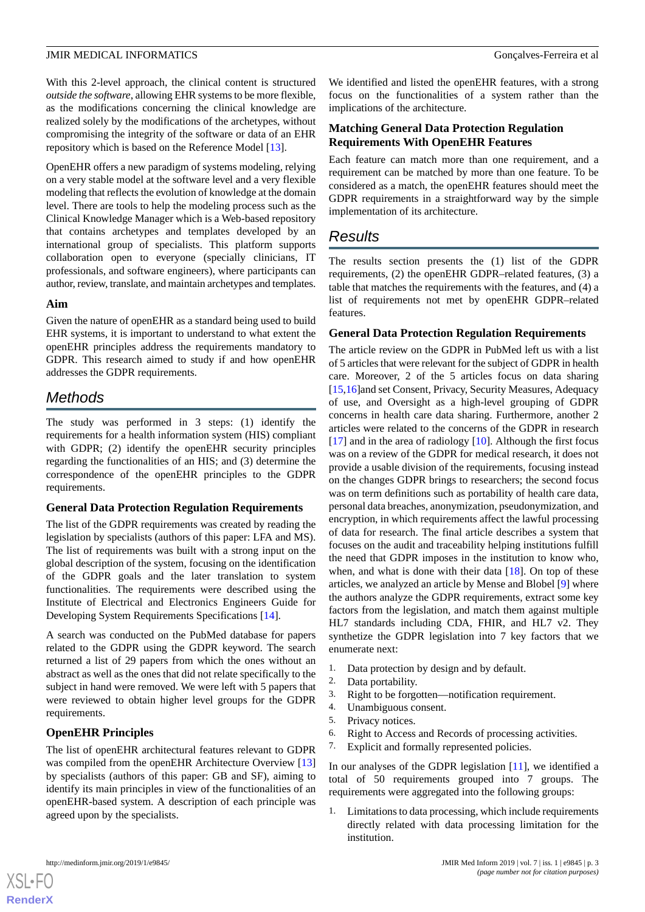With this 2-level approach, the clinical content is structured *outside the software*, allowing EHR systems to be more flexible, as the modifications concerning the clinical knowledge are realized solely by the modifications of the archetypes, without compromising the integrity of the software or data of an EHR repository which is based on the Reference Model [\[13](#page-10-9)].

OpenEHR offers a new paradigm of systems modeling, relying on a very stable model at the software level and a very flexible modeling that reflects the evolution of knowledge at the domain level. There are tools to help the modeling process such as the Clinical Knowledge Manager which is a Web-based repository that contains archetypes and templates developed by an international group of specialists. This platform supports collaboration open to everyone (specially clinicians, IT professionals, and software engineers), where participants can author, review, translate, and maintain archetypes and templates.

#### **Aim**

Given the nature of openEHR as a standard being used to build EHR systems, it is important to understand to what extent the openEHR principles address the requirements mandatory to GDPR. This research aimed to study if and how openEHR addresses the GDPR requirements.

## *Methods*

The study was performed in 3 steps: (1) identify the requirements for a health information system (HIS) compliant with GDPR; (2) identify the openEHR security principles regarding the functionalities of an HIS; and (3) determine the correspondence of the openEHR principles to the GDPR requirements.

## **General Data Protection Regulation Requirements**

The list of the GDPR requirements was created by reading the legislation by specialists (authors of this paper: LFA and MS). The list of requirements was built with a strong input on the global description of the system, focusing on the identification of the GDPR goals and the later translation to system functionalities. The requirements were described using the Institute of Electrical and Electronics Engineers Guide for Developing System Requirements Specifications [[14\]](#page-10-10).

A search was conducted on the PubMed database for papers related to the GDPR using the GDPR keyword. The search returned a list of 29 papers from which the ones without an abstract as well as the ones that did not relate specifically to the subject in hand were removed. We were left with 5 papers that were reviewed to obtain higher level groups for the GDPR requirements.

## **OpenEHR Principles**

The list of openEHR architectural features relevant to GDPR was compiled from the openEHR Architecture Overview [\[13](#page-10-9)] by specialists (authors of this paper: GB and SF), aiming to identify its main principles in view of the functionalities of an openEHR-based system. A description of each principle was agreed upon by the specialists.

We identified and listed the openEHR features, with a strong focus on the functionalities of a system rather than the implications of the architecture.

## **Matching General Data Protection Regulation Requirements With OpenEHR Features**

Each feature can match more than one requirement, and a requirement can be matched by more than one feature. To be considered as a match, the openEHR features should meet the GDPR requirements in a straightforward way by the simple implementation of its architecture.

## *Results*

The results section presents the (1) list of the GDPR requirements, (2) the openEHR GDPR–related features, (3) a table that matches the requirements with the features, and (4) a list of requirements not met by openEHR GDPR–related features.

## **General Data Protection Regulation Requirements**

The article review on the GDPR in PubMed left us with a list of 5 articles that were relevant for the subject of GDPR in health care. Moreover, 2 of the 5 articles focus on data sharing [[15,](#page-10-11)[16\]](#page-10-12)and set Consent, Privacy, Security Measures, Adequacy of use, and Oversight as a high-level grouping of GDPR concerns in health care data sharing. Furthermore, another 2 articles were related to the concerns of the GDPR in research [[17\]](#page-10-13) and in the area of radiology [\[10](#page-10-6)]. Although the first focus was on a review of the GDPR for medical research, it does not provide a usable division of the requirements, focusing instead on the changes GDPR brings to researchers; the second focus was on term definitions such as portability of health care data, personal data breaches, anonymization, pseudonymization, and encryption, in which requirements affect the lawful processing of data for research. The final article describes a system that focuses on the audit and traceability helping institutions fulfill the need that GDPR imposes in the institution to know who, when, and what is done with their data [[18\]](#page-10-14). On top of these articles, we analyzed an article by Mense and Blobel [[9\]](#page-10-5) where the authors analyze the GDPR requirements, extract some key factors from the legislation, and match them against multiple HL7 standards including CDA, FHIR, and HL7 v2. They synthetize the GDPR legislation into 7 key factors that we enumerate next:

- 1. Data protection by design and by default.
- 2. Data portability.<br>3. Right to be forger
- Right to be forgotten—notification requirement.
- 4. Unambiguous consent.
- 5. Privacy notices.
- 6. Right to Access and Records of processing activities.
- 7. Explicit and formally represented policies.

In our analyses of the GDPR legislation [\[11](#page-10-7)], we identified a total of 50 requirements grouped into 7 groups. The requirements were aggregated into the following groups:

1. Limitations to data processing, which include requirements directly related with data processing limitation for the institution.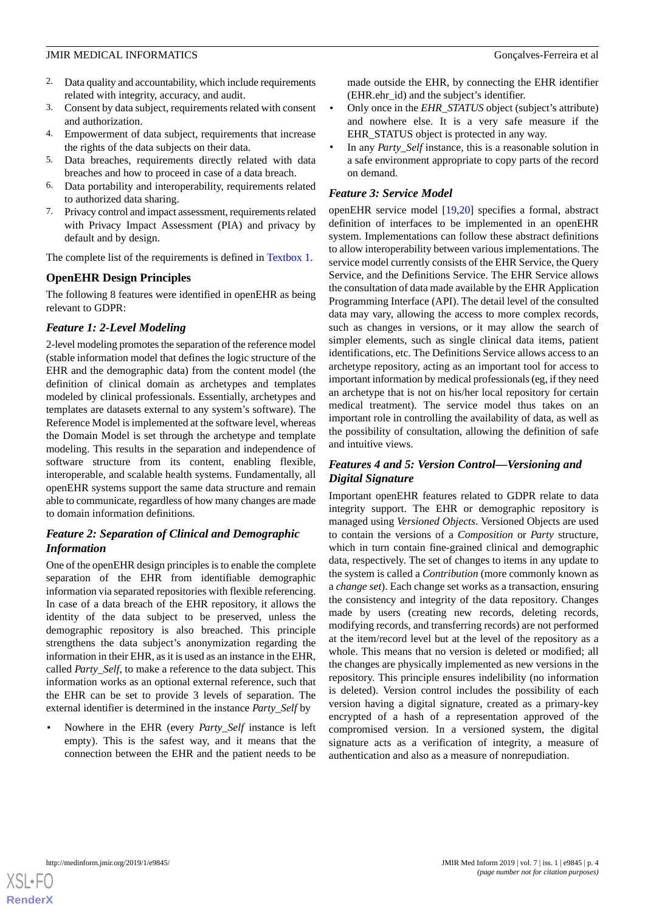- 2. Data quality and accountability, which include requirements related with integrity, accuracy, and audit.
- 3. Consent by data subject, requirements related with consent and authorization.
- 4. Empowerment of data subject, requirements that increase the rights of the data subjects on their data.
- 5. Data breaches, requirements directly related with data breaches and how to proceed in case of a data breach.
- 6. Data portability and interoperability, requirements related to authorized data sharing.
- 7. Privacy control and impact assessment, requirements related with Privacy Impact Assessment (PIA) and privacy by default and by design.

The complete list of the requirements is defined in [Textbox 1](#page-4-0).

## **OpenEHR Design Principles**

The following 8 features were identified in openEHR as being relevant to GDPR:

## *Feature 1: 2-Level Modeling*

2-level modeling promotes the separation of the reference model (stable information model that defines the logic structure of the EHR and the demographic data) from the content model (the definition of clinical domain as archetypes and templates modeled by clinical professionals. Essentially, archetypes and templates are datasets external to any system's software). The Reference Model is implemented at the software level, whereas the Domain Model is set through the archetype and template modeling. This results in the separation and independence of software structure from its content, enabling flexible, interoperable, and scalable health systems. Fundamentally, all openEHR systems support the same data structure and remain able to communicate, regardless of how many changes are made to domain information definitions.

## *Feature 2: Separation of Clinical and Demographic Information*

One of the openEHR design principles is to enable the complete separation of the EHR from identifiable demographic information via separated repositories with flexible referencing. In case of a data breach of the EHR repository, it allows the identity of the data subject to be preserved, unless the demographic repository is also breached. This principle strengthens the data subject's anonymization regarding the information in their EHR, as it is used as an instance in the EHR, called *Party\_Self*, to make a reference to the data subject. This information works as an optional external reference, such that the EHR can be set to provide 3 levels of separation. The external identifier is determined in the instance *Party\_Self* by

• Nowhere in the EHR (every *Party\_Self* instance is left empty). This is the safest way, and it means that the connection between the EHR and the patient needs to be

made outside the EHR, by connecting the EHR identifier (EHR.ehr\_id) and the subject's identifier.

- Only once in the *EHR\_STATUS* object (subject's attribute) and nowhere else. It is a very safe measure if the EHR\_STATUS object is protected in any way.
- In any *Party\_Self* instance, this is a reasonable solution in a safe environment appropriate to copy parts of the record on demand.

## *Feature 3: Service Model*

openEHR service model [[19,](#page-10-15)[20](#page-10-16)] specifies a formal, abstract definition of interfaces to be implemented in an openEHR system. Implementations can follow these abstract definitions to allow interoperability between various implementations. The service model currently consists of the EHR Service, the Query Service, and the Definitions Service. The EHR Service allows the consultation of data made available by the EHR Application Programming Interface (API). The detail level of the consulted data may vary, allowing the access to more complex records, such as changes in versions, or it may allow the search of simpler elements, such as single clinical data items, patient identifications, etc. The Definitions Service allows access to an archetype repository, acting as an important tool for access to important information by medical professionals (eg, if they need an archetype that is not on his/her local repository for certain medical treatment). The service model thus takes on an important role in controlling the availability of data, as well as the possibility of consultation, allowing the definition of safe and intuitive views.

## *Features 4 and 5: Version Control—Versioning and Digital Signature*

Important openEHR features related to GDPR relate to data integrity support. The EHR or demographic repository is managed using *Versioned Objects*. Versioned Objects are used to contain the versions of a *Composition* or *Party* structure, which in turn contain fine-grained clinical and demographic data, respectively. The set of changes to items in any update to the system is called a *Contribution* (more commonly known as a *change set*). Each change set works as a transaction, ensuring the consistency and integrity of the data repository. Changes made by users (creating new records, deleting records, modifying records, and transferring records) are not performed at the item/record level but at the level of the repository as a whole. This means that no version is deleted or modified; all the changes are physically implemented as new versions in the repository. This principle ensures indelibility (no information is deleted). Version control includes the possibility of each version having a digital signature, created as a primary-key encrypted of a hash of a representation approved of the compromised version. In a versioned system, the digital signature acts as a verification of integrity, a measure of authentication and also as a measure of nonrepudiation.

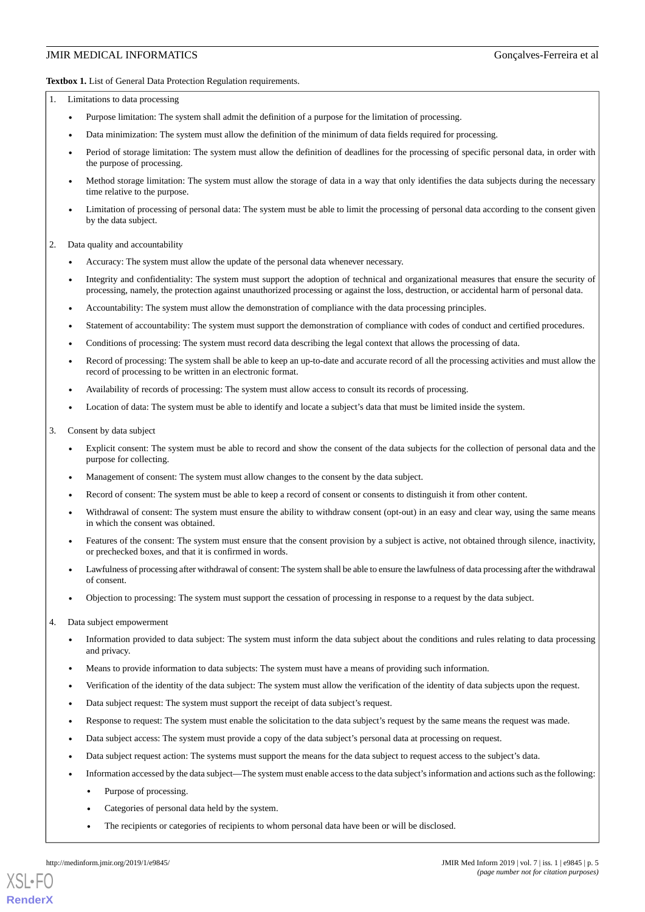<span id="page-4-0"></span>**Textbox 1.** List of General Data Protection Regulation requirements.

1. Limitations to data processing

- Purpose limitation: The system shall admit the definition of a purpose for the limitation of processing.
- Data minimization: The system must allow the definition of the minimum of data fields required for processing.
- Period of storage limitation: The system must allow the definition of deadlines for the processing of specific personal data, in order with the purpose of processing.
- Method storage limitation: The system must allow the storage of data in a way that only identifies the data subjects during the necessary time relative to the purpose.
- Limitation of processing of personal data: The system must be able to limit the processing of personal data according to the consent given by the data subject.

2. Data quality and accountability

- Accuracy: The system must allow the update of the personal data whenever necessary.
- Integrity and confidentiality: The system must support the adoption of technical and organizational measures that ensure the security of processing, namely, the protection against unauthorized processing or against the loss, destruction, or accidental harm of personal data.
- Accountability: The system must allow the demonstration of compliance with the data processing principles.
- Statement of accountability: The system must support the demonstration of compliance with codes of conduct and certified procedures.
- Conditions of processing: The system must record data describing the legal context that allows the processing of data.
- Record of processing: The system shall be able to keep an up-to-date and accurate record of all the processing activities and must allow the record of processing to be written in an electronic format.
- Availability of records of processing: The system must allow access to consult its records of processing.
- Location of data: The system must be able to identify and locate a subject's data that must be limited inside the system.
- 3. Consent by data subject
	- Explicit consent: The system must be able to record and show the consent of the data subjects for the collection of personal data and the purpose for collecting.
	- Management of consent: The system must allow changes to the consent by the data subject.
	- Record of consent: The system must be able to keep a record of consent or consents to distinguish it from other content.
	- Withdrawal of consent: The system must ensure the ability to withdraw consent (opt-out) in an easy and clear way, using the same means in which the consent was obtained.
	- Features of the consent: The system must ensure that the consent provision by a subject is active, not obtained through silence, inactivity, or prechecked boxes, and that it is confirmed in words.
	- Lawfulness of processing after withdrawal of consent: The system shall be able to ensure the lawfulness of data processing after the withdrawal of consent.
	- Objection to processing: The system must support the cessation of processing in response to a request by the data subject.
- 4. Data subject empowerment
	- Information provided to data subject: The system must inform the data subject about the conditions and rules relating to data processing and privacy.
	- Means to provide information to data subjects: The system must have a means of providing such information.
	- Verification of the identity of the data subject: The system must allow the verification of the identity of data subjects upon the request.
	- Data subject request: The system must support the receipt of data subject's request.
	- Response to request: The system must enable the solicitation to the data subject's request by the same means the request was made.
	- Data subject access: The system must provide a copy of the data subject's personal data at processing on request.
	- Data subject request action: The systems must support the means for the data subject to request access to the subject's data.
	- Information accessed by the data subject—The system must enable access to the data subject's information and actions such as the following:
		- Purpose of processing.
		- Categories of personal data held by the system.
		- The recipients or categories of recipients to whom personal data have been or will be disclosed.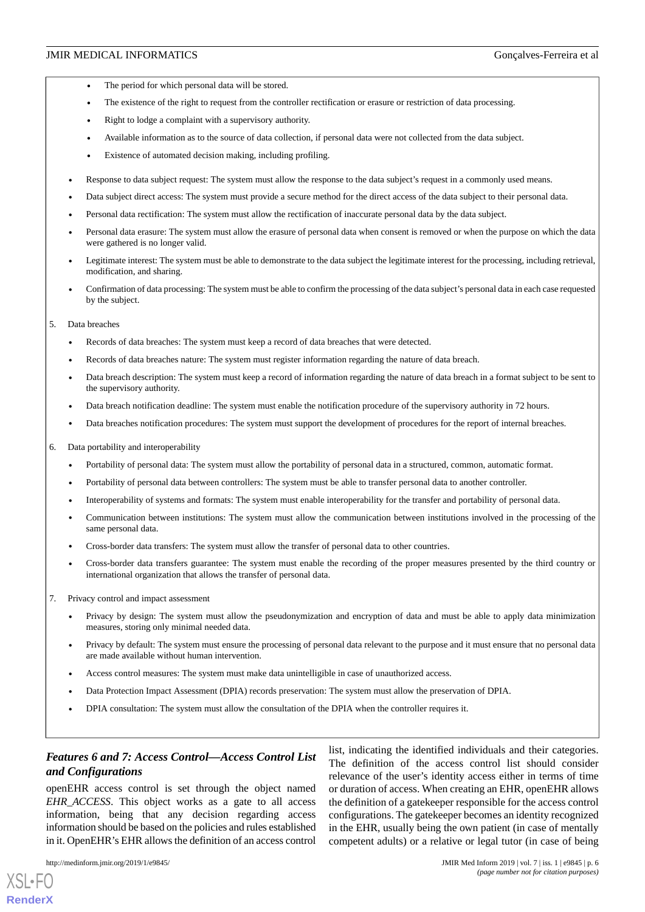- The period for which personal data will be stored.
- The existence of the right to request from the controller rectification or erasure or restriction of data processing.
- Right to lodge a complaint with a supervisory authority.
- Available information as to the source of data collection, if personal data were not collected from the data subject.
- Existence of automated decision making, including profiling.
- Response to data subject request: The system must allow the response to the data subject's request in a commonly used means.
- Data subject direct access: The system must provide a secure method for the direct access of the data subject to their personal data.
- Personal data rectification: The system must allow the rectification of inaccurate personal data by the data subject.
- Personal data erasure: The system must allow the erasure of personal data when consent is removed or when the purpose on which the data were gathered is no longer valid.
- Legitimate interest: The system must be able to demonstrate to the data subject the legitimate interest for the processing, including retrieval, modification, and sharing.
- Confirmation of data processing: The system must be able to confirm the processing of the data subject's personal data in each case requested by the subject.
- 5. Data breaches
	- Records of data breaches: The system must keep a record of data breaches that were detected.
	- Records of data breaches nature: The system must register information regarding the nature of data breach.
	- Data breach description: The system must keep a record of information regarding the nature of data breach in a format subject to be sent to the supervisory authority.
	- Data breach notification deadline: The system must enable the notification procedure of the supervisory authority in 72 hours.
	- Data breaches notification procedures: The system must support the development of procedures for the report of internal breaches.
- 6. Data portability and interoperability
	- Portability of personal data: The system must allow the portability of personal data in a structured, common, automatic format.
	- Portability of personal data between controllers: The system must be able to transfer personal data to another controller.
	- Interoperability of systems and formats: The system must enable interoperability for the transfer and portability of personal data.
	- Communication between institutions: The system must allow the communication between institutions involved in the processing of the same personal data.
	- Cross-border data transfers: The system must allow the transfer of personal data to other countries.
	- Cross-border data transfers guarantee: The system must enable the recording of the proper measures presented by the third country or international organization that allows the transfer of personal data.
- 7. Privacy control and impact assessment
	- Privacy by design: The system must allow the pseudonymization and encryption of data and must be able to apply data minimization measures, storing only minimal needed data.
	- Privacy by default: The system must ensure the processing of personal data relevant to the purpose and it must ensure that no personal data are made available without human intervention.
	- Access control measures: The system must make data unintelligible in case of unauthorized access.
	- Data Protection Impact Assessment (DPIA) records preservation: The system must allow the preservation of DPIA.
	- DPIA consultation: The system must allow the consultation of the DPIA when the controller requires it.

## *Features 6 and 7: Access Control—Access Control List and Configurations*

openEHR access control is set through the object named *EHR\_ACCESS*. This object works as a gate to all access information, being that any decision regarding access information should be based on the policies and rules established in it. OpenEHR's EHR allows the definition of an access control

[XSL](http://www.w3.org/Style/XSL)•FO **[RenderX](http://www.renderx.com/)**

list, indicating the identified individuals and their categories. The definition of the access control list should consider relevance of the user's identity access either in terms of time or duration of access. When creating an EHR, openEHR allows the definition of a gatekeeper responsible for the access control configurations. The gatekeeper becomes an identity recognized in the EHR, usually being the own patient (in case of mentally competent adults) or a relative or legal tutor (in case of being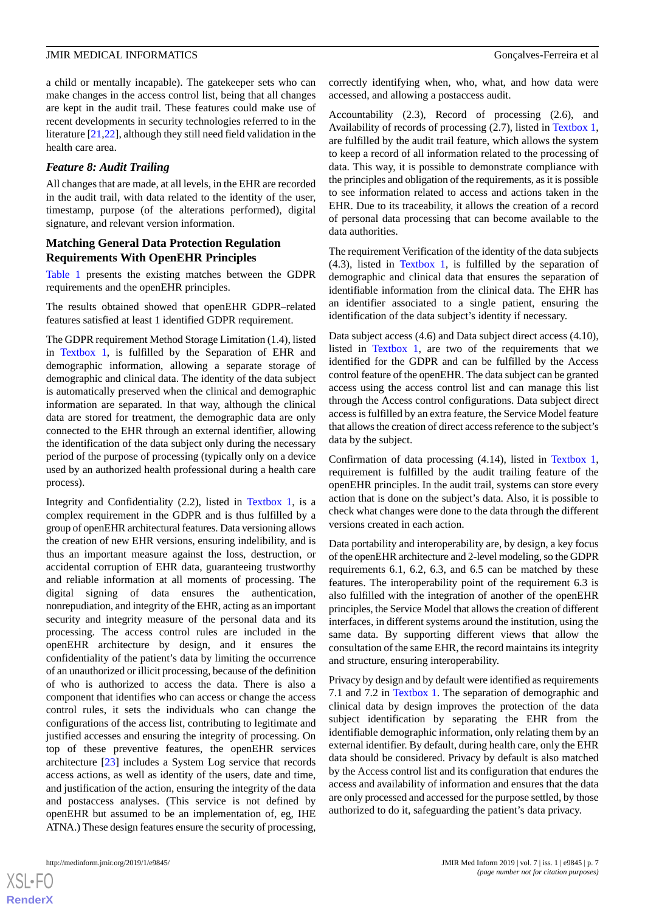a child or mentally incapable). The gatekeeper sets who can make changes in the access control list, being that all changes are kept in the audit trail. These features could make use of recent developments in security technologies referred to in the literature [[21](#page-10-17)[,22](#page-10-18)], although they still need field validation in the health care area.

## *Feature 8: Audit Trailing*

All changes that are made, at all levels, in the EHR are recorded in the audit trail, with data related to the identity of the user, timestamp, purpose (of the alterations performed), digital signature, and relevant version information.

## **Matching General Data Protection Regulation Requirements With OpenEHR Principles**

[Table 1](#page-7-0) presents the existing matches between the GDPR requirements and the openEHR principles.

The results obtained showed that openEHR GDPR–related features satisfied at least 1 identified GDPR requirement.

The GDPR requirement Method Storage Limitation (1.4), listed in [Textbox 1,](#page-4-0) is fulfilled by the Separation of EHR and demographic information, allowing a separate storage of demographic and clinical data. The identity of the data subject is automatically preserved when the clinical and demographic information are separated. In that way, although the clinical data are stored for treatment, the demographic data are only connected to the EHR through an external identifier, allowing the identification of the data subject only during the necessary period of the purpose of processing (typically only on a device used by an authorized health professional during a health care process).

Integrity and Confidentiality (2.2), listed in [Textbox 1,](#page-4-0) is a complex requirement in the GDPR and is thus fulfilled by a group of openEHR architectural features. Data versioning allows the creation of new EHR versions, ensuring indelibility, and is thus an important measure against the loss, destruction, or accidental corruption of EHR data, guaranteeing trustworthy and reliable information at all moments of processing. The digital signing of data ensures the authentication, nonrepudiation, and integrity of the EHR, acting as an important security and integrity measure of the personal data and its processing. The access control rules are included in the openEHR architecture by design, and it ensures the confidentiality of the patient's data by limiting the occurrence of an unauthorized or illicit processing, because of the definition of who is authorized to access the data. There is also a component that identifies who can access or change the access control rules, it sets the individuals who can change the configurations of the access list, contributing to legitimate and justified accesses and ensuring the integrity of processing. On top of these preventive features, the openEHR services architecture [[23\]](#page-10-19) includes a System Log service that records access actions, as well as identity of the users, date and time, and justification of the action, ensuring the integrity of the data and postaccess analyses. (This service is not defined by openEHR but assumed to be an implementation of, eg, IHE ATNA.) These design features ensure the security of processing,

correctly identifying when, who, what, and how data were accessed, and allowing a postaccess audit.

Accountability (2.3), Record of processing (2.6), and Availability of records of processing (2.7), listed in [Textbox 1](#page-4-0), are fulfilled by the audit trail feature, which allows the system to keep a record of all information related to the processing of data. This way, it is possible to demonstrate compliance with the principles and obligation of the requirements, as it is possible to see information related to access and actions taken in the EHR. Due to its traceability, it allows the creation of a record of personal data processing that can become available to the data authorities.

The requirement Verification of the identity of the data subjects (4.3), listed in [Textbox 1](#page-4-0), is fulfilled by the separation of demographic and clinical data that ensures the separation of identifiable information from the clinical data. The EHR has an identifier associated to a single patient, ensuring the identification of the data subject's identity if necessary.

Data subject access (4.6) and Data subject direct access (4.10), listed in [Textbox 1](#page-4-0), are two of the requirements that we identified for the GDPR and can be fulfilled by the Access control feature of the openEHR. The data subject can be granted access using the access control list and can manage this list through the Access control configurations. Data subject direct access is fulfilled by an extra feature, the Service Model feature that allows the creation of direct access reference to the subject's data by the subject.

Confirmation of data processing (4.14), listed in [Textbox 1](#page-4-0), requirement is fulfilled by the audit trailing feature of the openEHR principles. In the audit trail, systems can store every action that is done on the subject's data. Also, it is possible to check what changes were done to the data through the different versions created in each action.

Data portability and interoperability are, by design, a key focus of the openEHR architecture and 2-level modeling, so the GDPR requirements 6.1, 6.2, 6.3, and 6.5 can be matched by these features. The interoperability point of the requirement 6.3 is also fulfilled with the integration of another of the openEHR principles, the Service Model that allows the creation of different interfaces, in different systems around the institution, using the same data. By supporting different views that allow the consultation of the same EHR, the record maintains its integrity and structure, ensuring interoperability.

Privacy by design and by default were identified as requirements 7.1 and 7.2 in [Textbox 1.](#page-4-0) The separation of demographic and clinical data by design improves the protection of the data subject identification by separating the EHR from the identifiable demographic information, only relating them by an external identifier. By default, during health care, only the EHR data should be considered. Privacy by default is also matched by the Access control list and its configuration that endures the access and availability of information and ensures that the data are only processed and accessed for the purpose settled, by those authorized to do it, safeguarding the patient's data privacy.

 $XS$  • F( **[RenderX](http://www.renderx.com/)**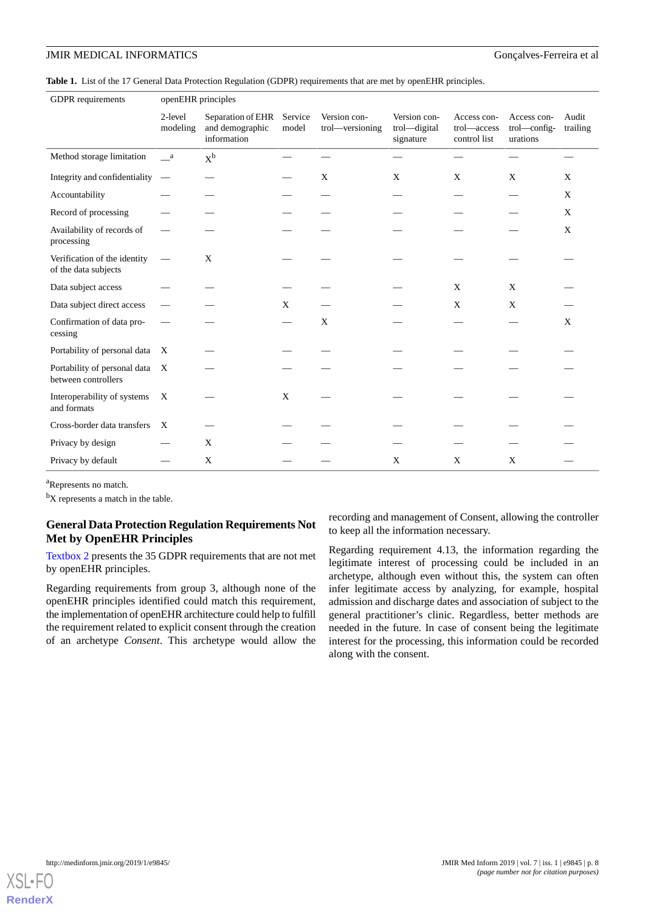<span id="page-7-0"></span>**Table 1.** List of the 17 General Data Protection Regulation (GDPR) requirements that are met by openEHR principles.

| <b>GDPR</b> requirements                             | openEHR principles        |                                                     |                  |                                 |                                           |                                            |                                         |                   |
|------------------------------------------------------|---------------------------|-----------------------------------------------------|------------------|---------------------------------|-------------------------------------------|--------------------------------------------|-----------------------------------------|-------------------|
|                                                      | 2-level<br>modeling       | Separation of EHR<br>and demographic<br>information | Service<br>model | Version con-<br>trol—versioning | Version con-<br>trol-digital<br>signature | Access con-<br>trol-access<br>control list | Access con-<br>trol—config-<br>urations | Audit<br>trailing |
| Method storage limitation                            | a a                       | $X^b$                                               |                  |                                 |                                           |                                            |                                         |                   |
| Integrity and confidentiality                        | $\hspace{0.1mm}$          |                                                     |                  | X                               | X                                         | X                                          | X                                       | X                 |
| Accountability                                       |                           |                                                     |                  |                                 |                                           |                                            |                                         | X                 |
| Record of processing                                 |                           |                                                     |                  |                                 |                                           |                                            |                                         | X                 |
| Availability of records of<br>processing             |                           |                                                     |                  |                                 |                                           |                                            |                                         | X                 |
| Verification of the identity<br>of the data subjects |                           | X                                                   |                  |                                 |                                           |                                            |                                         |                   |
| Data subject access                                  |                           |                                                     |                  |                                 |                                           | X                                          | X                                       |                   |
| Data subject direct access                           |                           |                                                     | X                |                                 |                                           | X                                          | X                                       |                   |
| Confirmation of data pro-<br>cessing                 |                           |                                                     |                  | X                               |                                           |                                            |                                         | X                 |
| Portability of personal data                         | X                         |                                                     |                  |                                 |                                           |                                            |                                         |                   |
| Portability of personal data<br>between controllers  | $\boldsymbol{\mathrm{X}}$ |                                                     |                  |                                 |                                           |                                            |                                         |                   |
| Interoperability of systems<br>and formats           | X                         |                                                     | X                |                                 |                                           |                                            |                                         |                   |
| Cross-border data transfers                          | $\boldsymbol{\mathrm{X}}$ |                                                     |                  |                                 |                                           |                                            |                                         |                   |
| Privacy by design                                    |                           | X                                                   |                  |                                 |                                           |                                            |                                         |                   |
| Privacy by default                                   |                           | X                                                   |                  |                                 | X                                         | X                                          | X                                       |                   |

<sup>a</sup>Represents no match.

 ${}^{\text{b}}\text{X}$  represents a match in the table.

## **General Data Protection Regulation Requirements Not Met by OpenEHR Principles**

[Textbox 2](#page-8-0) presents the 35 GDPR requirements that are not met by openEHR principles.

Regarding requirements from group 3, although none of the openEHR principles identified could match this requirement, the implementation of openEHR architecture could help to fulfill the requirement related to explicit consent through the creation of an archetype *Consent*. This archetype would allow the recording and management of Consent, allowing the controller to keep all the information necessary.

Regarding requirement 4.13, the information regarding the legitimate interest of processing could be included in an archetype, although even without this, the system can often infer legitimate access by analyzing, for example, hospital admission and discharge dates and association of subject to the general practitioner's clinic. Regardless, better methods are needed in the future. In case of consent being the legitimate interest for the processing, this information could be recorded along with the consent.

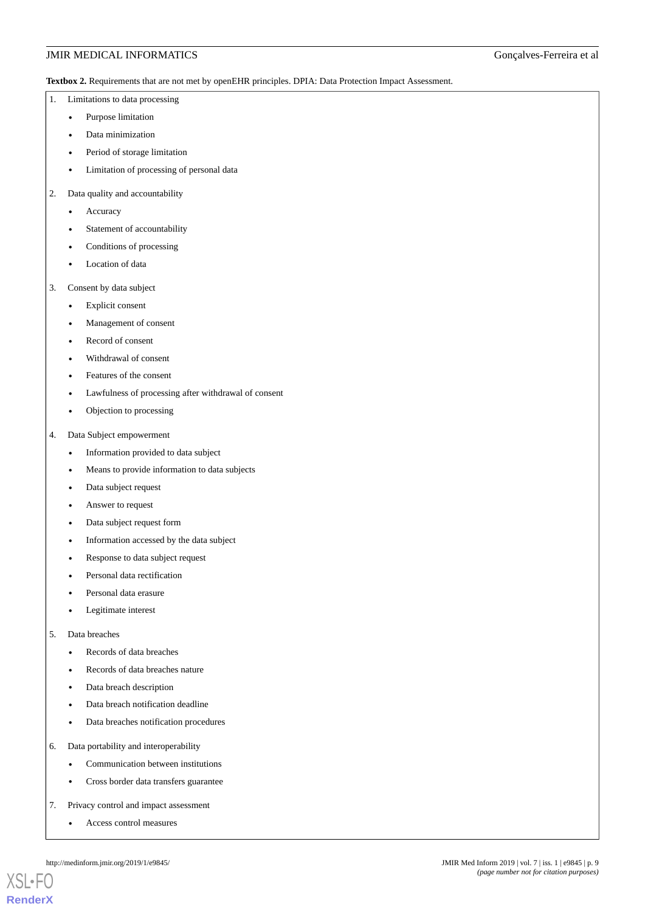<span id="page-8-0"></span>**Textbox 2.** Requirements that are not met by openEHR principles. DPIA: Data Protection Impact Assessment.

- 1. Limitations to data processing
	- Purpose limitation
	- Data minimization
	- Period of storage limitation
	- Limitation of processing of personal data
- 2. Data quality and accountability
	- **Accuracy**
	- Statement of accountability
	- Conditions of processing
	- Location of data
- 3. Consent by data subject
	- Explicit consent
	- Management of consent
	- Record of consent
	- Withdrawal of consent
	- Features of the consent
	- Lawfulness of processing after withdrawal of consent
	- Objection to processing
- 4. Data Subject empowerment
	- Information provided to data subject
	- Means to provide information to data subjects
	- Data subject request
	- Answer to request
	- Data subject request form
	- Information accessed by the data subject
	- Response to data subject request
	- Personal data rectification
	- Personal data erasure
	- Legitimate interest
- 5. Data breaches
	- Records of data breaches
	- Records of data breaches nature
	- Data breach description
	- Data breach notification deadline
	- Data breaches notification procedures
- 6. Data portability and interoperability
	- Communication between institutions
	- Cross border data transfers guarantee
- 7. Privacy control and impact assessment
	- Access control measures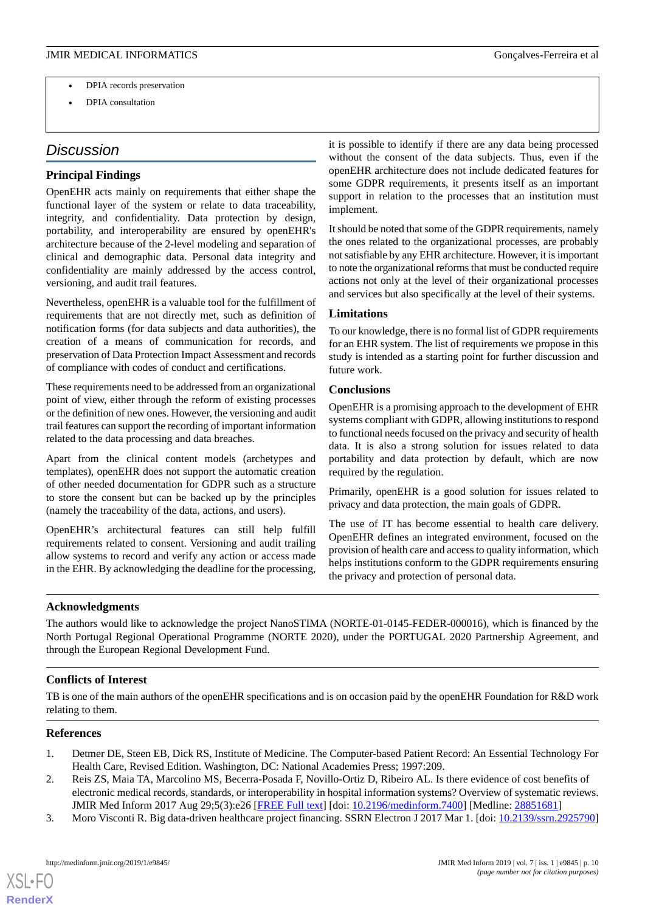- DPIA records preservation
- DPIA consultation

## *Discussion*

## **Principal Findings**

OpenEHR acts mainly on requirements that either shape the functional layer of the system or relate to data traceability, integrity, and confidentiality. Data protection by design, portability, and interoperability are ensured by openEHR's architecture because of the 2-level modeling and separation of clinical and demographic data. Personal data integrity and confidentiality are mainly addressed by the access control, versioning, and audit trail features.

Nevertheless, openEHR is a valuable tool for the fulfillment of requirements that are not directly met, such as definition of notification forms (for data subjects and data authorities), the creation of a means of communication for records, and preservation of Data Protection Impact Assessment and records of compliance with codes of conduct and certifications.

These requirements need to be addressed from an organizational point of view, either through the reform of existing processes or the definition of new ones. However, the versioning and audit trail features can support the recording of important information related to the data processing and data breaches.

Apart from the clinical content models (archetypes and templates), openEHR does not support the automatic creation of other needed documentation for GDPR such as a structure to store the consent but can be backed up by the principles (namely the traceability of the data, actions, and users).

OpenEHR's architectural features can still help fulfill requirements related to consent. Versioning and audit trailing allow systems to record and verify any action or access made in the EHR. By acknowledging the deadline for the processing,

it is possible to identify if there are any data being processed without the consent of the data subjects. Thus, even if the openEHR architecture does not include dedicated features for some GDPR requirements, it presents itself as an important support in relation to the processes that an institution must implement.

It should be noted that some of the GDPR requirements, namely the ones related to the organizational processes, are probably not satisfiable by any EHR architecture. However, it is important to note the organizational reforms that must be conducted require actions not only at the level of their organizational processes and services but also specifically at the level of their systems.

## **Limitations**

To our knowledge, there is no formal list of GDPR requirements for an EHR system. The list of requirements we propose in this study is intended as a starting point for further discussion and future work.

## **Conclusions**

OpenEHR is a promising approach to the development of EHR systems compliant with GDPR, allowing institutions to respond to functional needs focused on the privacy and security of health data. It is also a strong solution for issues related to data portability and data protection by default, which are now required by the regulation.

Primarily, openEHR is a good solution for issues related to privacy and data protection, the main goals of GDPR.

The use of IT has become essential to health care delivery. OpenEHR defines an integrated environment, focused on the provision of health care and access to quality information, which helps institutions conform to the GDPR requirements ensuring the privacy and protection of personal data.

#### **Acknowledgments**

The authors would like to acknowledge the project NanoSTIMA (NORTE-01-0145-FEDER-000016), which is financed by the North Portugal Regional Operational Programme (NORTE 2020), under the PORTUGAL 2020 Partnership Agreement, and through the European Regional Development Fund.

## <span id="page-9-0"></span>**Conflicts of Interest**

<span id="page-9-1"></span>TB is one of the main authors of the openEHR specifications and is on occasion paid by the openEHR Foundation for R&D work relating to them.

### <span id="page-9-2"></span>**References**

- 1. Detmer DE, Steen EB, Dick RS, Institute of Medicine. The Computer-based Patient Record: An Essential Technology For Health Care, Revised Edition. Washington, DC: National Academies Press; 1997:209.
- 2. Reis ZS, Maia TA, Marcolino MS, Becerra-Posada F, Novillo-Ortiz D, Ribeiro AL. Is there evidence of cost benefits of electronic medical records, standards, or interoperability in hospital information systems? Overview of systematic reviews. JMIR Med Inform 2017 Aug 29;5(3):e26 [[FREE Full text](http://medinform.jmir.org/2017/3/e26/)] [doi: [10.2196/medinform.7400\]](http://dx.doi.org/10.2196/medinform.7400) [Medline: [28851681](http://www.ncbi.nlm.nih.gov/entrez/query.fcgi?cmd=Retrieve&db=PubMed&list_uids=28851681&dopt=Abstract)]
- 3. Moro Visconti R. Big data-driven healthcare project financing. SSRN Electron J 2017 Mar 1. [doi: [10.2139/ssrn.2925790](http://dx.doi.org/10.2139/ssrn.2925790)]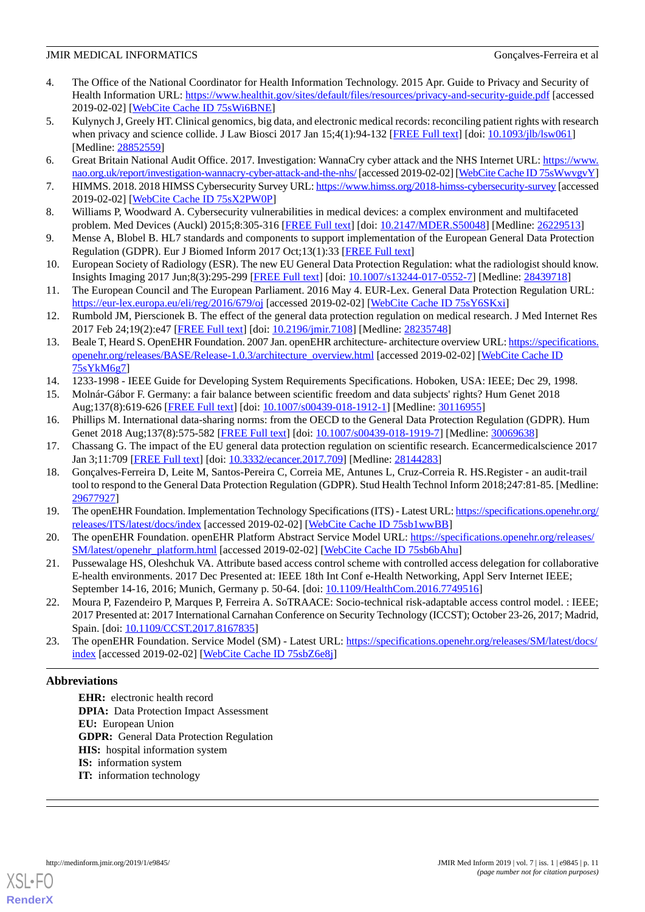- <span id="page-10-0"></span>4. The Office of the National Coordinator for Health Information Technology. 2015 Apr. Guide to Privacy and Security of Health Information URL:<https://www.healthit.gov/sites/default/files/resources/privacy-and-security-guide.pdf> [accessed 2019-02-02] [\[WebCite Cache ID 75sWi6BNE\]](http://www.webcitation.org/

                                            75sWi6BNE)
- <span id="page-10-1"></span>5. Kulynych J, Greely HT. Clinical genomics, big data, and electronic medical records: reconciling patient rights with research when privacy and science collide. J Law Biosci 2017 Jan 15;4(1):94-132 [[FREE Full text](http://europepmc.org/abstract/MED/28852559)] [doi: [10.1093/jlb/lsw061](http://dx.doi.org/10.1093/jlb/lsw061)] [Medline: [28852559](http://www.ncbi.nlm.nih.gov/entrez/query.fcgi?cmd=Retrieve&db=PubMed&list_uids=28852559&dopt=Abstract)]
- <span id="page-10-3"></span><span id="page-10-2"></span>6. Great Britain National Audit Office. 2017. Investigation: WannaCry cyber attack and the NHS Internet URL: [https://www.](https://www.nao.org.uk/report/investigation-wannacry-cyber-attack-and-the-nhs/) [nao.org.uk/report/investigation-wannacry-cyber-attack-and-the-nhs/](https://www.nao.org.uk/report/investigation-wannacry-cyber-attack-and-the-nhs/) [accessed 2019-02-02] [[WebCite Cache ID 75sWwvgvY\]](http://www.webcitation.org/

                                            75sWwvgvY)
- <span id="page-10-4"></span>7. HIMMS. 2018. 2018 HIMSS Cybersecurity Survey URL:<https://www.himss.org/2018-himss-cybersecurity-survey> [accessed 2019-02-02] [\[WebCite Cache ID 75sX2PW0P\]](http://www.webcitation.org/

                                            75sX2PW0P)
- <span id="page-10-5"></span>8. Williams P, Woodward A. Cybersecurity vulnerabilities in medical devices: a complex environment and multifaceted problem. Med Devices (Auckl) 2015;8:305-316 [[FREE Full text\]](https://dx.doi.org/10.2147/MDER.S50048) [doi: [10.2147/MDER.S50048](http://dx.doi.org/10.2147/MDER.S50048)] [Medline: [26229513](http://www.ncbi.nlm.nih.gov/entrez/query.fcgi?cmd=Retrieve&db=PubMed&list_uids=26229513&dopt=Abstract)]
- <span id="page-10-6"></span>9. Mense A, Blobel B. HL7 standards and components to support implementation of the European General Data Protection Regulation (GDPR). Eur J Biomed Inform 2017 Oct;13(1):33 [[FREE Full text](https://www.ejbi.org/scholarly-articles/hl7-standards-and-components-to-support-implementation-ofthe-european-general-data-protection-regulation-gdpr.pdf)]
- <span id="page-10-7"></span>10. European Society of Radiology (ESR). The new EU General Data Protection Regulation: what the radiologist should know. Insights Imaging 2017 Jun;8(3):295-299 [\[FREE Full text\]](http://europepmc.org/abstract/MED/28439718) [doi: [10.1007/s13244-017-0552-7](http://dx.doi.org/10.1007/s13244-017-0552-7)] [Medline: [28439718\]](http://www.ncbi.nlm.nih.gov/entrez/query.fcgi?cmd=Retrieve&db=PubMed&list_uids=28439718&dopt=Abstract)
- <span id="page-10-8"></span>11. The European Council and The European Parliament. 2016 May 4. EUR-Lex. General Data Protection Regulation URL: <https://eur-lex.europa.eu/eli/reg/2016/679/oj> [accessed 2019-02-02] [\[WebCite Cache ID 75sY6SKxi\]](http://www.webcitation.org/

                                            75sY6SKxi)
- <span id="page-10-9"></span>12. Rumbold JM, Pierscionek B. The effect of the general data protection regulation on medical research. J Med Internet Res 2017 Feb 24;19(2):e47 [\[FREE Full text](http://www.jmir.org/2017/2/e47/)] [doi: [10.2196/jmir.7108\]](http://dx.doi.org/10.2196/jmir.7108) [Medline: [28235748](http://www.ncbi.nlm.nih.gov/entrez/query.fcgi?cmd=Retrieve&db=PubMed&list_uids=28235748&dopt=Abstract)]
- <span id="page-10-11"></span><span id="page-10-10"></span>13. Beale T, Heard S. OpenEHR Foundation. 2007 Jan. openEHR architecture- architecture overview URL: [https://specifications.](https://specifications.openehr.org/releases/BASE/Release-1.0.3/architecture_overview.html) [openehr.org/releases/BASE/Release-1.0.3/architecture\\_overview.html](https://specifications.openehr.org/releases/BASE/Release-1.0.3/architecture_overview.html) [accessed 2019-02-02] [\[WebCite Cache ID](http://www.webcitation.org/

                                            75sYkM6g7) [75sYkM6g7](http://www.webcitation.org/

                                            75sYkM6g7)]
- <span id="page-10-12"></span>14. 1233-1998 - IEEE Guide for Developing System Requirements Specifications. Hoboken, USA: IEEE; Dec 29, 1998.
- <span id="page-10-13"></span>15. Molnár-Gábor F. Germany: a fair balance between scientific freedom and data subjects' rights? Hum Genet 2018 Aug;137(8):619-626 [\[FREE Full text\]](http://europepmc.org/abstract/MED/30116955) [doi: [10.1007/s00439-018-1912-1\]](http://dx.doi.org/10.1007/s00439-018-1912-1) [Medline: [30116955\]](http://www.ncbi.nlm.nih.gov/entrez/query.fcgi?cmd=Retrieve&db=PubMed&list_uids=30116955&dopt=Abstract)
- <span id="page-10-14"></span>16. Phillips M. International data-sharing norms: from the OECD to the General Data Protection Regulation (GDPR). Hum Genet 2018 Aug;137(8):575-582 [\[FREE Full text](http://europepmc.org/abstract/MED/30069638)] [doi: [10.1007/s00439-018-1919-7\]](http://dx.doi.org/10.1007/s00439-018-1919-7) [Medline: [30069638\]](http://www.ncbi.nlm.nih.gov/entrez/query.fcgi?cmd=Retrieve&db=PubMed&list_uids=30069638&dopt=Abstract)
- 17. Chassang G. The impact of the EU general data protection regulation on scientific research. Ecancermedicalscience 2017 Jan 3;11:709 [[FREE Full text](http://europepmc.org/abstract/MED/28144283)] [doi: [10.3332/ecancer.2017.709\]](http://dx.doi.org/10.3332/ecancer.2017.709) [Medline: [28144283](http://www.ncbi.nlm.nih.gov/entrez/query.fcgi?cmd=Retrieve&db=PubMed&list_uids=28144283&dopt=Abstract)]
- <span id="page-10-16"></span><span id="page-10-15"></span>18. Gonçalves-Ferreira D, Leite M, Santos-Pereira C, Correia ME, Antunes L, Cruz-Correia R. HS.Register - an audit-trail tool to respond to the General Data Protection Regulation (GDPR). Stud Health Technol Inform 2018;247:81-85. [Medline: [29677927](http://www.ncbi.nlm.nih.gov/entrez/query.fcgi?cmd=Retrieve&db=PubMed&list_uids=29677927&dopt=Abstract)]
- <span id="page-10-17"></span>19. The openEHR Foundation. Implementation Technology Specifications (ITS) - Latest URL: [https://specifications.openehr.org/](https://specifications.openehr.org/releases/ITS/latest/docs/index) [releases/ITS/latest/docs/index](https://specifications.openehr.org/releases/ITS/latest/docs/index) [accessed 2019-02-02] [[WebCite Cache ID 75sb1wwBB](http://www.webcitation.org/

                                            75sb1wwBB)]
- <span id="page-10-18"></span>20. The openEHR Foundation. openEHR Platform Abstract Service Model URL: [https://specifications.openehr.org/releases/](https://specifications.openehr.org/releases/SM/latest/openehr_platform.html) [SM/latest/openehr\\_platform.html](https://specifications.openehr.org/releases/SM/latest/openehr_platform.html) [accessed 2019-02-02] [\[WebCite Cache ID 75sb6bAhu](http://www.webcitation.org/

                                            75sb6bAhu)]
- <span id="page-10-19"></span>21. Pussewalage HS, Oleshchuk VA. Attribute based access control scheme with controlled access delegation for collaborative E-health environments. 2017 Dec Presented at: IEEE 18th Int Conf e-Health Networking, Appl Serv Internet IEEE; September 14-16, 2016; Munich, Germany p. 50-64. [doi: [10.1109/HealthCom.2016.7749516](http://dx.doi.org/10.1109/HealthCom.2016.7749516)]
- 22. Moura P, Fazendeiro P, Marques P, Ferreira A. SoTRAACE: Socio-technical risk-adaptable access control model. : IEEE; 2017 Presented at: 2017 International Carnahan Conference on Security Technology (ICCST); October 23-26, 2017; Madrid, Spain. [doi: [10.1109/CCST.2017.8167835](http://dx.doi.org/10.1109/CCST.2017.8167835)]
- 23. The openEHR Foundation. Service Model (SM) Latest URL: [https://specifications.openehr.org/releases/SM/latest/docs/](https://specifications.openehr.org/releases/SM/latest/docs/index) [index](https://specifications.openehr.org/releases/SM/latest/docs/index) [accessed 2019-02-02] [[WebCite Cache ID 75sbZ6e8j\]](http://www.webcitation.org/

                                            75sbZ6e8j)

## **Abbreviations**

**EHR:** electronic health record **DPIA:** Data Protection Impact Assessment **EU:** European Union **GDPR:** General Data Protection Regulation **HIS:** hospital information system **IS:** information system **IT:** information technology